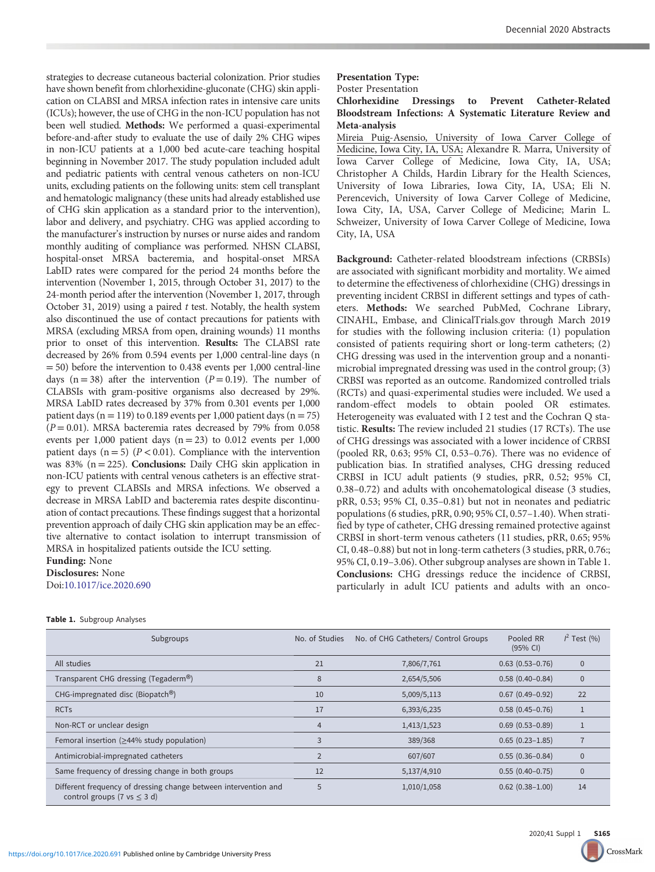strategies to decrease cutaneous bacterial colonization. Prior studies have shown benefit from chlorhexidine-gluconate (CHG) skin application on CLABSI and MRSA infection rates in intensive care units (ICUs); however, the use of CHG in the non-ICU population has not been well studied. Methods: We performed a quasi-experimental before-and-after study to evaluate the use of daily 2% CHG wipes in non-ICU patients at a 1,000 bed acute-care teaching hospital beginning in November 2017. The study population included adult and pediatric patients with central venous catheters on non-ICU units, excluding patients on the following units: stem cell transplant and hematologic malignancy (these units had already established use of CHG skin application as a standard prior to the intervention), labor and delivery, and psychiatry. CHG was applied according to the manufacturer's instruction by nurses or nurse aides and random monthly auditing of compliance was performed. NHSN CLABSI, hospital-onset MRSA bacteremia, and hospital-onset MRSA LabID rates were compared for the period 24 months before the intervention (November 1, 2015, through October 31, 2017) to the 24-month period after the intervention (November 1, 2017, through October 31, 2019) using a paired t test. Notably, the health system also discontinued the use of contact precautions for patients with MRSA (excluding MRSA from open, draining wounds) 11 months prior to onset of this intervention. Results: The CLABSI rate decreased by 26% from 0.594 events per 1,000 central-line days (n = 50) before the intervention to 0.438 events per 1,000 central-line days ( $n = 38$ ) after the intervention ( $P = 0.19$ ). The number of CLABSIs with gram-positive organisms also decreased by 29%. MRSA LabID rates decreased by 37% from 0.301 events per 1,000 patient days ( $n = 119$ ) to 0.189 events per 1,000 patient days ( $n = 75$ )  $(P = 0.01)$ . MRSA bacteremia rates decreased by 79% from 0.058 events per 1,000 patient days  $(n = 23)$  to 0.012 events per 1,000 patient days  $(n = 5)$   $(P < 0.01)$ . Compliance with the intervention was 83% ( $n = 225$ ). **Conclusions:** Daily CHG skin application in non-ICU patients with central venous catheters is an effective strategy to prevent CLABSIs and MRSA infections. We observed a decrease in MRSA LabID and bacteremia rates despite discontinuation of contact precautions. These findings suggest that a horizontal prevention approach of daily CHG skin application may be an effective alternative to contact isolation to interrupt transmission of MRSA in hospitalized patients outside the ICU setting.

## Funding: None Disclosures: None Doi[:10.1017/ice.2020.690](https://doi.org/10.1017/ice.2020.690)

## Presentation Type: Poster Presentation

Chlorhexidine Dressings to Prevent Catheter-Related Bloodstream Infections: A Systematic Literature Review and Meta-analysis

Mireia Puig-Asensio, University of Iowa Carver College of Medicine, Iowa City, IA, USA; Alexandre R. Marra, University of Iowa Carver College of Medicine, Iowa City, IA, USA; Christopher A Childs, Hardin Library for the Health Sciences, University of Iowa Libraries, Iowa City, IA, USA; Eli N. Perencevich, University of Iowa Carver College of Medicine, Iowa City, IA, USA, Carver College of Medicine; Marin L. Schweizer, University of Iowa Carver College of Medicine, Iowa City, IA, USA

Background: Catheter-related bloodstream infections (CRBSIs) are associated with significant morbidity and mortality. We aimed to determine the effectiveness of chlorhexidine (CHG) dressings in preventing incident CRBSI in different settings and types of catheters. Methods: We searched PubMed, Cochrane Library, CINAHL, Embase, and ClinicalTrials.gov through March 2019 for studies with the following inclusion criteria: (1) population consisted of patients requiring short or long-term catheters; (2) CHG dressing was used in the intervention group and a nonantimicrobial impregnated dressing was used in the control group; (3) CRBSI was reported as an outcome. Randomized controlled trials (RCTs) and quasi-experimental studies were included. We used a random-effect models to obtain pooled OR estimates. Heterogeneity was evaluated with I 2 test and the Cochran Q statistic. Results: The review included 21 studies (17 RCTs). The use of CHG dressings was associated with a lower incidence of CRBSI (pooled RR, 0.63; 95% CI, 0.53–0.76). There was no evidence of publication bias. In stratified analyses, CHG dressing reduced CRBSI in ICU adult patients (9 studies, pRR, 0.52; 95% CI, 0.38–0.72) and adults with oncohematological disease (3 studies, pRR, 0.53; 95% CI, 0.35–0.81) but not in neonates and pediatric populations (6 studies, pRR, 0.90; 95% CI, 0.57–1.40). When stratified by type of catheter, CHG dressing remained protective against CRBSI in short-term venous catheters (11 studies, pRR, 0.65; 95% CI, 0.48–0.88) but not in long-term catheters (3 studies, pRR, 0.76:; 95% CI, 0.19–3.06). Other subgroup analyses are shown in Table 1. Conclusions: CHG dressings reduce the incidence of CRBSI, particularly in adult ICU patients and adults with an onco-

| Subgroups                                                                                           | No. of Studies | No. of CHG Catheters/ Control Groups | Pooled RR<br>(95% CI)  | $1^2$ Test (%) |
|-----------------------------------------------------------------------------------------------------|----------------|--------------------------------------|------------------------|----------------|
| All studies                                                                                         | 21             | 7,806/7,761                          | $0.63(0.53 - 0.76)$    | $\mathbf{0}$   |
| Transparent CHG dressing (Tegaderm®)                                                                | 8              | 2,654/5,506                          | $0.58(0.40 - 0.84)$    | $\mathbf{0}$   |
| CHG-impregnated disc (Biopatch®)                                                                    | 10             | 5,009/5,113                          | $0.67(0.49 - 0.92)$    | 22             |
| <b>RCTs</b>                                                                                         | 17             | 6,393/6,235                          | $0.58(0.45 - 0.76)$    |                |
| Non-RCT or unclear design                                                                           | $\overline{4}$ | 1,413/1,523                          | $0.69(0.53 - 0.89)$    |                |
| Femoral insertion ( $\geq$ 44% study population)                                                    | 3              | 389/368                              | $0.65(0.23 - 1.85)$    |                |
| Antimicrobial-impregnated catheters                                                                 | $\overline{2}$ | 607/607                              | $0.55(0.36 - 0.84)$    | $\mathbf{0}$   |
| Same frequency of dressing change in both groups                                                    | 12             | 5,137/4,910                          | $0.55(0.40-0.75)$      | $\mathbf{0}$   |
| Different frequency of dressing change between intervention and<br>control groups (7 vs $\leq$ 3 d) | 5              | 1,010/1,058                          | $0.62$ $(0.38 - 1.00)$ | 14             |

## Table 1. Subgroup Analyses